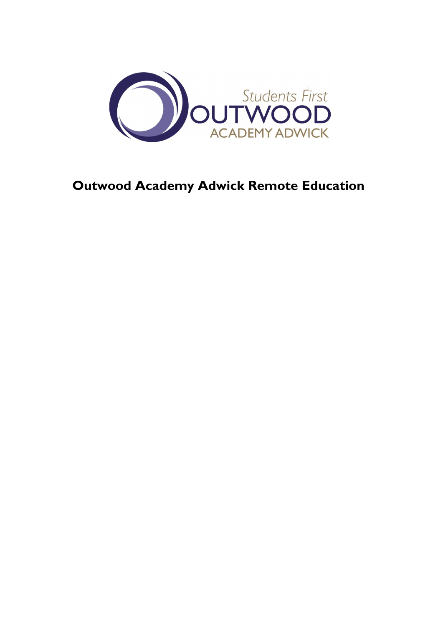

# **Outwood Academy Adwick Remote Education**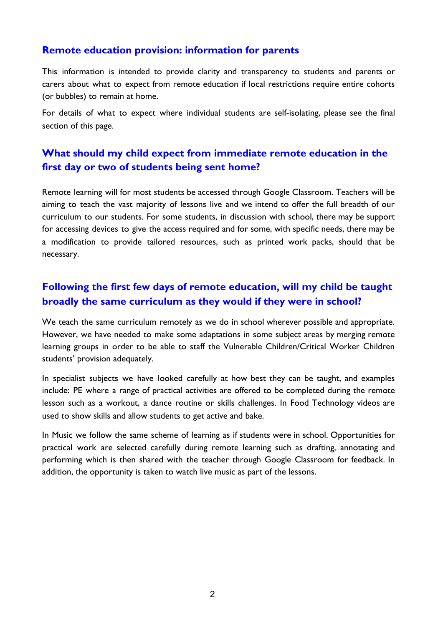#### **Remote education provision: information for parents**

This information is intended to provide clarity and transparency to students and parents or carers about what to expect from remote education if local restrictions require entire cohorts (or bubbles) to remain at home.

For details of what to expect where individual students are self-isolating, please see the final section of this page.

## **What should my child expect from immediate remote education in the first day or two of students being sent home?**

Remote learning will for most students be accessed through Google Classroom. Teachers will be aiming to teach the vast majority of lessons live and we intend to offer the full breadth of our curriculum to our students. For some students, in discussion with school, there may be support for accessing devices to give the access required and for some, with specific needs, there may be a modification to provide tailored resources, such as printed work packs, should that be necessary.

## **Following the first few days of remote education, will my child be taught broadly the same curriculum as they would if they were in school?**

We teach the same curriculum remotely as we do in school wherever possible and appropriate. However, we have needed to make some adaptations in some subject areas by merging remote learning groups in order to be able to staff the Vulnerable Children/Critical Worker Children students' provision adequately.

In specialist subjects we have looked carefully at how best they can be taught, and examples include: PE where a range of practical activities are offered to be completed during the remote lesson such as a workout, a dance routine or skills challenges. In Food Technology videos are used to show skills and allow students to get active and bake.

In Music we follow the same scheme of learning as if students were in school. Opportunities for practical work are selected carefully during remote learning such as drafting, annotating and performing which is then shared with the teacher through Google Classroom for feedback. In addition, the opportunity is taken to watch live music as part of the lessons.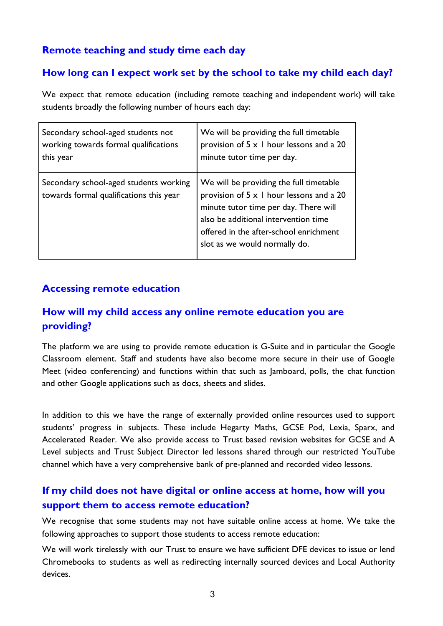## **Remote teaching and study time each day**

## **How long can I expect work set by the school to take my child each day?**

We expect that remote education (including remote teaching and independent work) will take students broadly the following number of hours each day:

| Secondary school-aged students not                                                | We will be providing the full timetable                                                                                                                                                                                                                |
|-----------------------------------------------------------------------------------|--------------------------------------------------------------------------------------------------------------------------------------------------------------------------------------------------------------------------------------------------------|
| working towards formal qualifications                                             | provision of $5 \times 1$ hour lessons and a 20                                                                                                                                                                                                        |
| this year                                                                         | minute tutor time per day.                                                                                                                                                                                                                             |
| Secondary school-aged students working<br>towards formal qualifications this year | We will be providing the full timetable<br>provision of $5 \times 1$ hour lessons and a 20<br>minute tutor time per day. There will<br>also be additional intervention time<br>offered in the after-school enrichment<br>slot as we would normally do. |

## **Accessing remote education**

## **How will my child access any online remote education you are providing?**

The platform we are using to provide remote education is G-Suite and in particular the Google Classroom element. Staff and students have also become more secure in their use of Google Meet (video conferencing) and functions within that such as Jamboard, polls, the chat function and other Google applications such as docs, sheets and slides.

In addition to this we have the range of externally provided online resources used to support students' progress in subjects. These include Hegarty Maths, GCSE Pod, Lexia, Sparx, and Accelerated Reader. We also provide access to Trust based revision websites for GCSE and A Level subjects and Trust Subject Director led lessons shared through our restricted YouTube channel which have a very comprehensive bank of pre-planned and recorded video lessons.

# **If my child does not have digital or online access at home, how will you support them to access remote education?**

We recognise that some students may not have suitable online access at home. We take the following approaches to support those students to access remote education:

We will work tirelessly with our Trust to ensure we have sufficient DFE devices to issue or lend Chromebooks to students as well as redirecting internally sourced devices and Local Authority devices.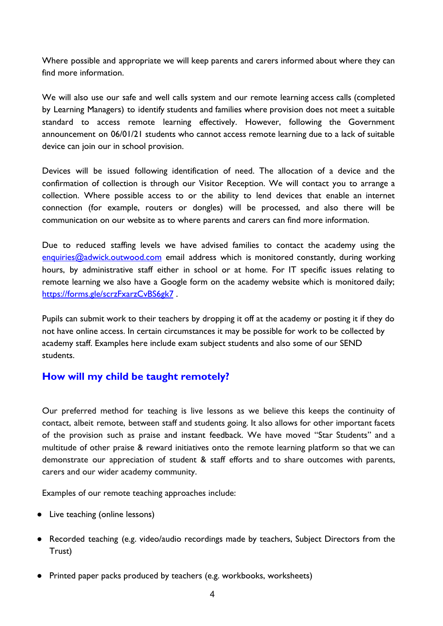Where possible and appropriate we will keep parents and carers informed about where they can find more information.

We will also use our safe and well calls system and our remote learning access calls (completed by Learning Managers) to identify students and families where provision does not meet a suitable standard to access remote learning effectively. However, following the Government announcement on 06/01/21 students who cannot access remote learning due to a lack of suitable device can join our in school provision.

Devices will be issued following identification of need. The allocation of a device and the confirmation of collection is through our Visitor Reception. We will contact you to arrange a collection. Where possible access to or the ability to lend devices that enable an internet connection (for example, routers or dongles) will be processed, and also there will be communication on our website as to where parents and carers can find more information.

Due to reduced staffing levels we have advised families to contact the academy using the enquiries@adwick.outwood.com email address which is monitored constantly, during working hours, by administrative staff either in school or at home. For IT specific issues relating to remote learning we also have a Google form on the academy website which is monitored daily; https://forms.gle/scrzFxarzCvBS6gk7 .

Pupils can submit work to their teachers by dropping it off at the academy or posting it if they do not have online access. In certain circumstances it may be possible for work to be collected by academy staff. Examples here include exam subject students and also some of our SEND students.

## **How will my child be taught remotely?**

Our preferred method for teaching is live lessons as we believe this keeps the continuity of contact, albeit remote, between staff and students going. It also allows for other important facets of the provision such as praise and instant feedback. We have moved "Star Students" and a multitude of other praise & reward initiatives onto the remote learning platform so that we can demonstrate our appreciation of student & staff efforts and to share outcomes with parents, carers and our wider academy community.

Examples of our remote teaching approaches include:

- Live teaching (online lessons)
- Recorded teaching (e.g. video/audio recordings made by teachers, Subject Directors from the Trust)
- Printed paper packs produced by teachers (e.g. workbooks, worksheets)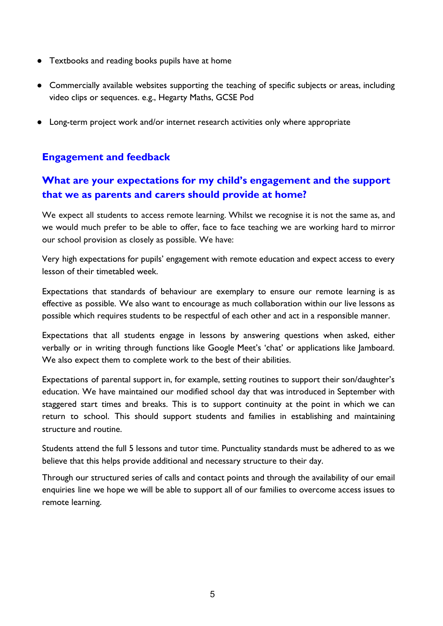- Textbooks and reading books pupils have at home
- Commercially available websites supporting the teaching of specific subjects or areas, including video clips or sequences. e.g., Hegarty Maths, GCSE Pod
- Long-term project work and/or internet research activities only where appropriate

## **Engagement and feedback**

## **What are your expectations for my child's engagement and the support that we as parents and carers should provide at home?**

We expect all students to access remote learning. Whilst we recognise it is not the same as, and we would much prefer to be able to offer, face to face teaching we are working hard to mirror our school provision as closely as possible. We have:

Very high expectations for pupils' engagement with remote education and expect access to every lesson of their timetabled week.

Expectations that standards of behaviour are exemplary to ensure our remote learning is as effective as possible. We also want to encourage as much collaboration within our live lessons as possible which requires students to be respectful of each other and act in a responsible manner.

Expectations that all students engage in lessons by answering questions when asked, either verbally or in writing through functions like Google Meet's 'chat' or applications like Jamboard. We also expect them to complete work to the best of their abilities.

Expectations of parental support in, for example, setting routines to support their son/daughter's education. We have maintained our modified school day that was introduced in September with staggered start times and breaks. This is to support continuity at the point in which we can return to school. This should support students and families in establishing and maintaining structure and routine.

Students attend the full 5 lessons and tutor time. Punctuality standards must be adhered to as we believe that this helps provide additional and necessary structure to their day.

Through our structured series of calls and contact points and through the availability of our email enquiries line we hope we will be able to support all of our families to overcome access issues to remote learning.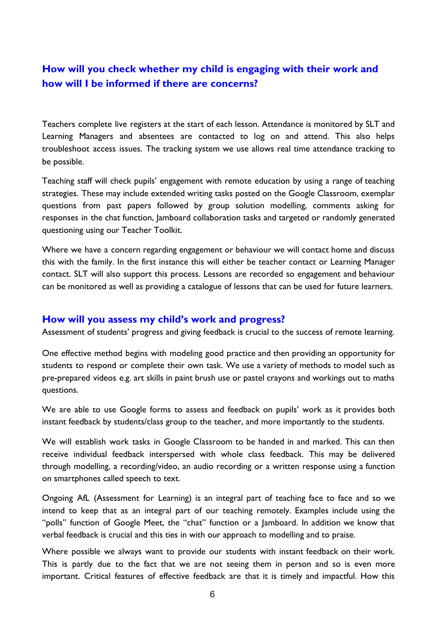## **How will you check whether my child is engaging with their work and how will I be informed if there are concerns?**

Teachers complete live registers at the start of each lesson. Attendance is monitored by SLT and Learning Managers and absentees are contacted to log on and attend. This also helps troubleshoot access issues. The tracking system we use allows real time attendance tracking to be possible.

Teaching staff will check pupils' engagement with remote education by using a range of teaching strategies. These may include extended writing tasks posted on the Google Classroom, exemplar questions from past papers followed by group solution modelling, comments asking for responses in the chat function, Jamboard collaboration tasks and targeted or randomly generated questioning using our Teacher Toolkit.

Where we have a concern regarding engagement or behaviour we will contact home and discuss this with the family. In the first instance this will either be teacher contact or Learning Manager contact. SLT will also support this process. Lessons are recorded so engagement and behaviour can be monitored as well as providing a catalogue of lessons that can be used for future learners.

#### **How will you assess my child's work and progress?**

Assessment of students' progress and giving feedback is crucial to the success of remote learning.

One effective method begins with modeling good practice and then providing an opportunity for students to respond or complete their own task. We use a variety of methods to model such as pre-prepared videos e.g. art skills in paint brush use or pastel crayons and workings out to maths questions.

We are able to use Google forms to assess and feedback on pupils' work as it provides both instant feedback by students/class group to the teacher, and more importantly to the students.

We will establish work tasks in Google Classroom to be handed in and marked. This can then receive individual feedback interspersed with whole class feedback. This may be delivered through modelling, a recording/video, an audio recording or a written response using a function on smartphones called speech to text.

Ongoing AfL (Assessment for Learning) is an integral part of teaching face to face and so we intend to keep that as an integral part of our teaching remotely. Examples include using the "polls" function of Google Meet, the "chat" function or a Jamboard. In addition we know that verbal feedback is crucial and this ties in with our approach to modelling and to praise.

Where possible we always want to provide our students with instant feedback on their work. This is partly due to the fact that we are not seeing them in person and so is even more important. Critical features of effective feedback are that it is timely and impactful. How this